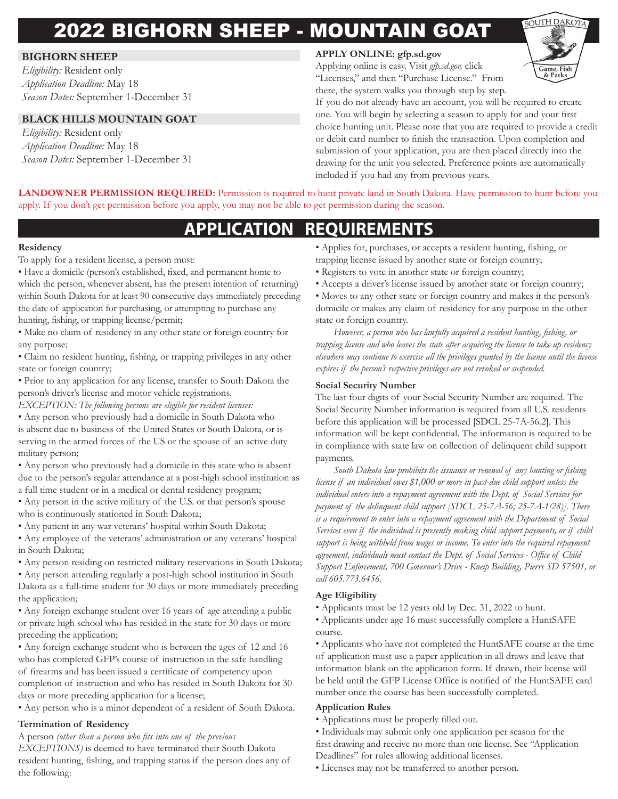# 2022 BIGHORN SHEEP - MOUNTAIN GOAT

#### **BIGHORN SHEEP**

*Eligibility:* Resident only *Application Deadline:* May 18 *Season Dates:* September 1-December 31

#### **BLACK HILLS MOUNTAIN GOAT**

*Eligibility:* Resident only *Application Deadline:* May 18 *Season Dates:* September 1-December 31

#### **APPLY ONLINE: gfp.sd.gov**

Applying online is easy. Visit *gfp.sd.gov,* click "Licenses," and then "Purchase License." From there, the system walks you through step by step.



If you do not already have an account, you will be required to create one. You will begin by selecting a season to apply for and your first choice hunting unit. Please note that you are required to provide a credit or debit card number to finish the transaction. Upon completion and submission of your application, you are then placed directly into the drawing for the unit you selected. Preference points are automatically included if you had any from previous years.

**LANDOWNER PERMISSION REQUIRED:** Permission is required to hunt private land in South Dakota. Have permission to hunt before you apply. If you don't get permission before you apply, you may not be able to get permission during the season.

## **APPLICATION REQUIREMENTS**

#### **Residency**

To apply for a resident license, a person must:

• Have a domicile (person's established, fixed, and permanent home to which the person, whenever absent, has the present intention of returning) within South Dakota for at least 90 consecutive days immediately preceding the date of application for purchasing, or attempting to purchase any hunting, fishing, or trapping license/permit;

• Make no claim of residency in any other state or foreign country for any purpose;

• Claim no resident hunting, fishing, or trapping privileges in any other state or foreign country;

• Prior to any application for any license, transfer to South Dakota the person's driver's license and motor vehicle registrations.

*EXCEPTION: The following persons are eligible for resident licenses:*

• Any person who previously had a domicile in South Dakota who is absent due to business of the United States or South Dakota, or is serving in the armed forces of the US or the spouse of an active duty military person;

- Any person who previously had a domicile in this state who is absent due to the person's regular attendance at a post-high school institution as a full time student or in a medical or dental residency program;
- Any person in the active military of the U.S. or that person's spouse who is continuously stationed in South Dakota;
- Any patient in any war veterans' hospital within South Dakota;
- Any employee of the veterans' administration or any veterans' hospital in South Dakota;
- Any person residing on restricted military reservations in South Dakota;

• Any person attending regularly a post-high school institution in South Dakota as a full-time student for 30 days or more immediately preceding the application;

• Any foreign exchange student over 16 years of age attending a public or private high school who has resided in the state for 30 days or more preceding the application;

• Any foreign exchange student who is between the ages of 12 and 16 who has completed GFP's course of instruction in the safe handling of firearms and has been issued a certificate of competency upon completion of instruction and who has resided in South Dakota for 30 days or more preceding application for a license;

• Any person who is a minor dependent of a resident of South Dakota.

#### **Termination of Residency**

A person *(other than a person who fits into one of the previous* 

*EXCEPTIONS)* is deemed to have terminated their South Dakota resident hunting, fishing, and trapping status if the person does any of the following:

- Applies for, purchases, or accepts a resident hunting, fishing, or trapping license issued by another state or foreign country;
- Registers to vote in another state or foreign country;
- Accepts a driver's license issued by another state or foreign country;

• Moves to any other state or foreign country and makes it the person's domicile or makes any claim of residency for any purpose in the other state or foreign country.

*However, a person who has lawfully acquired a resident hunting, fishing, or trapping license and who leaves the state after acquiring the license to take up residency elsewhere may continue to exercise all the privileges granted by the license until the license expires if the person's respective privileges are not revoked or suspended.*

#### **Social Security Number**

The last four digits of your Social Security Number are required. The Social Security Number information is required from all U.S. residents before this application will be processed [SDCL 25-7A-56.2]. This information will be kept confidential. The information is required to be in compliance with state law on collection of delinquent child support payments.

*South Dakota law prohibits the issuance or renewal of any hunting or fishing license if an individual owes \$1,000 or more in past-due child support unless the individual enters into a repayment agreement with the Dept. of Social Services for payment of the delinquent child support [SDCL 25-7A-56; 25-7A-1(28)]. There is a requirement to enter into a repayment agreement with the Department of Social Services even if the individual is presently making child support payments, or if child support is being withheld from wages or income. To enter into the required repayment agreement, individuals must contact the Dept. of Social Services - Office of Child Support Enforcement, 700 Governor's Drive - Kneip Building, Pierre SD 57501, or call 605.773.6456.*

#### **Age Eligibility**

- Applicants must be 12 years old by Dec. 31, 2022 to hunt.
- Applicants under age 16 must successfully complete a HuntSAFE course.

• Applicants who have not completed the HuntSAFE course at the time of application must use a paper application in all draws and leave that information blank on the application form. If drawn, their license will be held until the GFP License Office is notified of the HuntSAFE card number once the course has been successfully completed.

#### **Application Rules**

• Applications must be properly filled out.

• Individuals may submit only one application per season for the first drawing and receive no more than one license. See "Application Deadlines" for rules allowing additional licenses.

• Licenses may not be transferred to another person.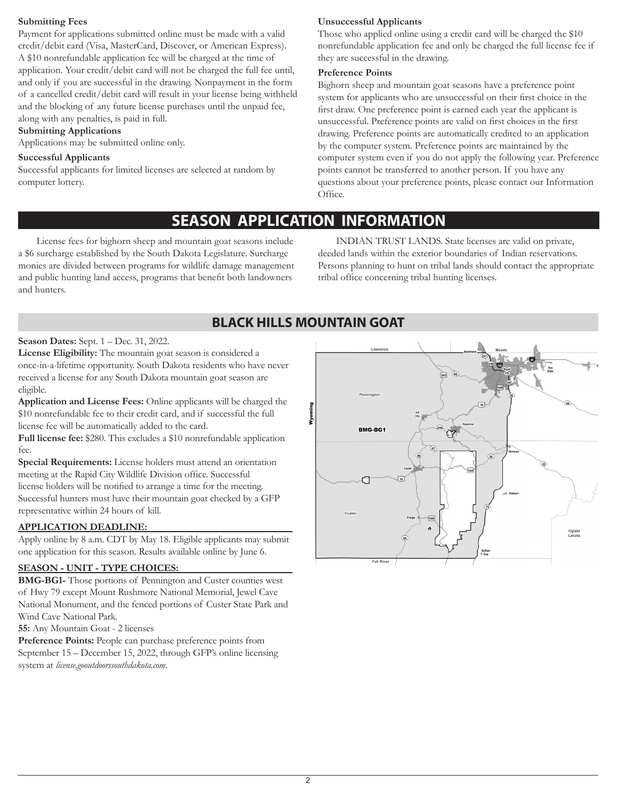#### **Submitting Fees**

Payment for applications submitted online must be made with a valid credit/debit card (Visa, MasterCard, Discover, or American Express). A \$10 nonrefundable application fee will be charged at the time of application. Your credit/debit card will not be charged the full fee until, and only if you are successful in the drawing. Nonpayment in the form of a cancelled credit/debit card will result in your license being withheld and the blocking of any future license purchases until the unpaid fee, along with any penalties, is paid in full.

#### **Submitting Applications**

Applications may be submitted online only.

#### **Successful Applicants**

Successful applicants for limited licenses are selected at random by computer lottery.

#### **Unsuccessful Applicants**

Those who applied online using a credit card will be charged the \$10 nonrefundable application fee and only be charged the full license fee if they are successful in the drawing.

#### **Preference Points**

Bighorn sheep and mountain goat seasons have a preference point system for applicants who are unsuccessful on their first choice in the first draw. One preference point is earned each year the applicant is unsuccessful. Preference points are valid on first choices in the first drawing. Preference points are automatically credited to an application by the computer system. Preference points are maintained by the computer system even if you do not apply the following year. Preference points cannot be transferred to another person. If you have any questions about your preference points, please contact our Information Office.

## **SEASON APPLICATION INFORMATION**

License fees for bighorn sheep and mountain goat seasons include a \$6 surcharge established by the South Dakota Legislature. Surcharge monies are divided between programs for wildlife damage management and public hunting land access, programs that benefit both landowners and hunters.

INDIAN TRUST LANDS. State licenses are valid on private, deeded lands within the exterior boundaries of Indian reservations. Persons planning to hunt on tribal lands should contact the appropriate tribal office concerning tribal hunting licenses.

## **BLACK HILLS MOUNTAIN GOAT**

**Season Dates:** Sept. 1 – Dec. 31, 2022.

**License Eligibility:** The mountain goat season is considered a once-in-a-lifetime opportunity. South Dakota residents who have never received a license for any South Dakota mountain goat season are eligible.

**Application and License Fees:** Online applicants will be charged the \$10 nonrefundable fee to their credit card, and if successful the full license fee will be automatically added to the card.

**Full license fee:** \$280. This excludes a \$10 nonrefundable application fee.

**Special Requirements:** License holders must attend an orientation meeting at the Rapid City Wildlife Division office. Successful license holders will be notified to arrange a time for the meeting. Successful hunters must have their mountain goat checked by a GFP representative within 24 hours of kill.

#### **APPLICATION DEADLINE:**

Apply online by 8 a.m. CDT by May 18. Eligible applicants may submit one application for this season. Results available online by June 6.

#### **SEASON - UNIT - TYPE CHOICES:**

**BMG-BG1-** Those portions of Pennington and Custer counties west of Hwy 79 except Mount Rushmore National Memorial, Jewel Cave National Monument, and the fenced portions of Custer State Park and Wind Cave National Park.

**55:** Any Mountain Goat - 2 licenses

**Preference Points:** People can purchase preference points from September 15 – December 15, 2022, through GFP's online licensing system at *license.gooutdoorssouthdakota.com*.